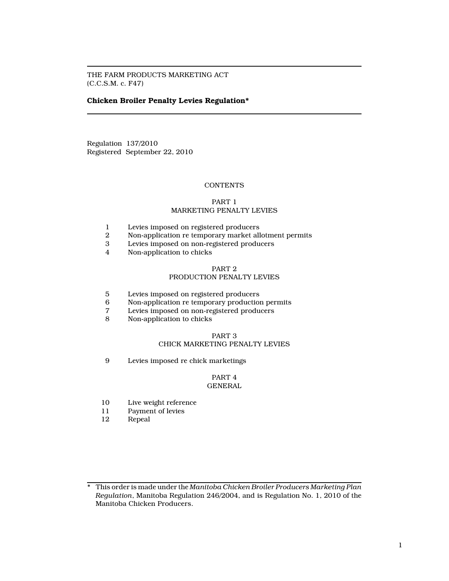THE FARM PRODUCTS MARKETING ACT (C.C.S.M. c. F47)

# Chicken Broiler Penalty Levies Regulation\*

Regulation 137/2010 Registered September 22, 2010

# **CONTENTS**

# PART 1

# MARKETING PENALTY LEVIES

- 1 Levies imposed on registered producers<br>2 Non-application re temporary market all
- 2 Non-application re temporary market allotment permits<br>3 Levies imposed on non-registered producers
- Levies imposed on non-registered producers
- 4 Non-application to chicks

# PART 2

# PRODUCTION PENALTY LEVIES

- 5 Levies imposed on registered producers
- 6 Non-application re temporary production permits<br>7 Levies imposed on non-registered producers
- 7 Levies imposed on non-registered producers
- Non-application to chicks

# PART 3 CHICK MARKETING PENALTY LEVIES

9 Levies imposed re chick marketings

#### PART 4 GENERAL

- 10 Live weight reference<br>11 Payment of levies
- 11 Payment of levies<br>12 Repeal
- Repeal

<sup>\*</sup> This order is made under the Manitoba Chicken Broiler Producers Marketing Plan Regulation, Manitoba Regulation 246/2004, and is Regulation No. 1, 2010 of the Manitoba Chicken Producers.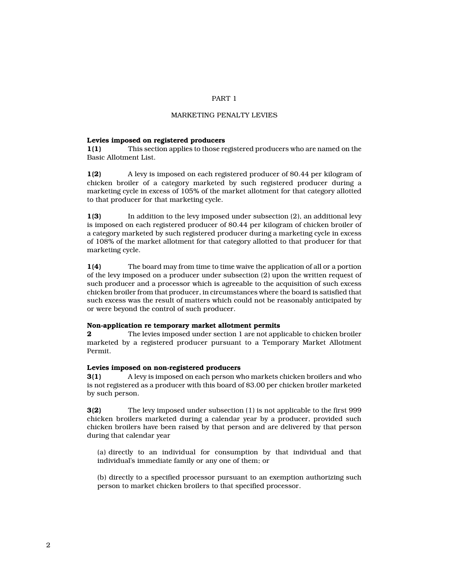# PART 1

# MARKETING PENALTY LEVIES

#### Levies imposed on registered producers

1(1) This section applies to those registered producers who are named on the Basic Allotment List.

1(2) A levy is imposed on each registered producer of \$0.44 per kilogram of chicken broiler of a category marketed by such registered producer during a marketing cycle in excess of 105% of the market allotment for that category allotted to that producer for that marketing cycle.

1(3) In addition to the levy imposed under subsection (2), an additional levy is imposed on each registered producer of \$0.44 per kilogram of chicken broiler of a category marketed by such registered producer during a marketing cycle in excess of 108% of the market allotment for that category allotted to that producer for that marketing cycle.

1(4) The board may from time to time waive the application of all or a portion of the levy imposed on a producer under subsection (2) upon the written request of such producer and a processor which is agreeable to the acquisition of such excess chicken broiler from that producer, in circumstances where the board is satisfied that such excess was the result of matters which could not be reasonably anticipated by or were beyond the control of such producer.

#### Non-application re temporary market allotment permits

2 The levies imposed under section 1 are not applicable to chicken broiler marketed by a registered producer pursuant to a Temporary Market Allotment Permit.

## Levies imposed on non-registered producers

3(1) A levy is imposed on each person who markets chicken broilers and who is not registered as a producer with this board of \$3.00 per chicken broiler marketed by such person.

3(2) The levy imposed under subsection (1) is not applicable to the first 999 chicken broilers marketed during a calendar year by a producer, provided such chicken broilers have been raised by that person and are delivered by that person during that calendar year

(a) directly to an individual for consumption by that individual and that individual's immediate family or any one of them; or

(b) directly to a specified processor pursuant to an exemption authorizing such person to market chicken broilers to that specified processor.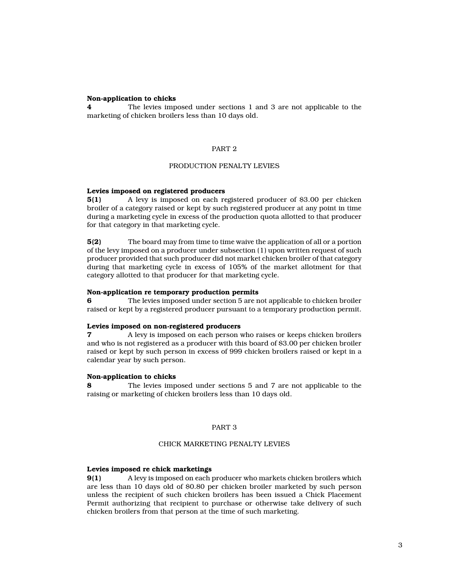## Non-application to chicks

4 The levies imposed under sections 1 and 3 are not applicable to the marketing of chicken broilers less than 10 days old.

# PART 2

# PRODUCTION PENALTY LEVIES

# Levies imposed on registered producers

5(1) A levy is imposed on each registered producer of \$3.00 per chicken broiler of a category raised or kept by such registered producer at any point in time during a marketing cycle in excess of the production quota allotted to that producer for that category in that marketing cycle.

5(2) The board may from time to time waive the application of all or a portion of the levy imposed on a producer under subsection (1) upon written request of such producer provided that such producer did not market chicken broiler of that category during that marketing cycle in excess of 105% of the market allotment for that category allotted to that producer for that marketing cycle.

#### Non-application re temporary production permits

6 The levies imposed under section 5 are not applicable to chicken broiler raised or kept by a registered producer pursuant to a temporary production permit.

### Levies imposed on non-registered producers

7 A levy is imposed on each person who raises or keeps chicken broilers and who is not registered as a producer with this board of \$3.00 per chicken broiler raised or kept by such person in excess of 999 chicken broilers raised or kept in a calendar year by such person.

## Non-application to chicks

8 The levies imposed under sections 5 and 7 are not applicable to the raising or marketing of chicken broilers less than 10 days old.

### PART 3

# CHICK MARKETING PENALTY LEVIES

### Levies imposed re chick marketings

9(1) A levy is imposed on each producer who markets chicken broilers which are less than 10 days old of \$0.80 per chicken broiler marketed by such person unless the recipient of such chicken broilers has been issued a Chick Placement Permit authorizing that recipient to purchase or otherwise take delivery of such chicken broilers from that person at the time of such marketing.